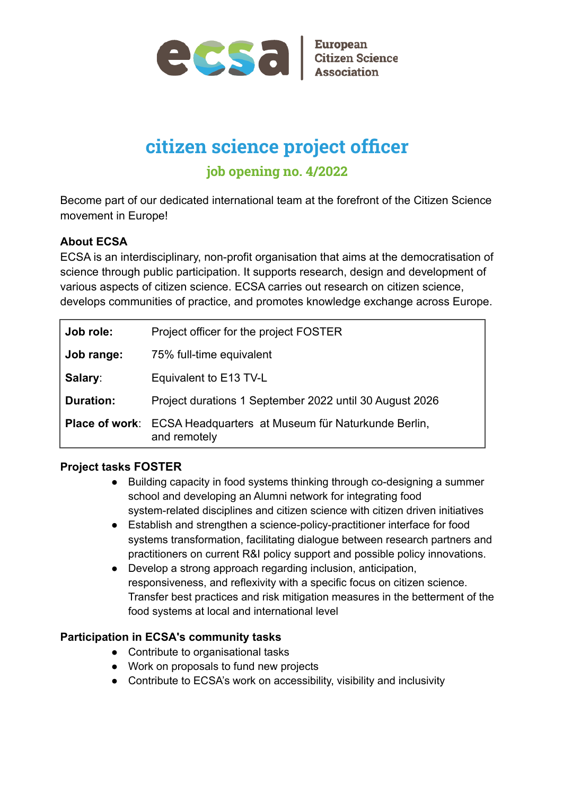

# **citizen science project officer job opening no. 4/2022**

Become part of our dedicated international team at the forefront of the Citizen Science movement in Europe!

## **About ECSA**

ECSA is an interdisciplinary, non-profit organisation that aims at the democratisation of science through public participation. It supports research, design and development of various aspects of citizen science. ECSA carries out research on citizen science, develops communities of practice, and promotes knowledge exchange across Europe.

| Job role:        | Project officer for the project FOSTER                                                   |
|------------------|------------------------------------------------------------------------------------------|
| Job range:       | 75% full-time equivalent                                                                 |
| Salary:          | Equivalent to E13 TV-L                                                                   |
| <b>Duration:</b> | Project durations 1 September 2022 until 30 August 2026                                  |
|                  | <b>Place of work:</b> ECSA Headquarters at Museum für Naturkunde Berlin,<br>and remotely |

### **Project tasks FOSTER**

- Building capacity in food systems thinking through co-designing a summer school and developing an Alumni network for integrating food system-related disciplines and citizen science with citizen driven initiatives
- Establish and strengthen a science-policy-practitioner interface for food systems transformation, facilitating dialogue between research partners and practitioners on current R&I policy support and possible policy innovations.
- Develop a strong approach regarding inclusion, anticipation, responsiveness, and reflexivity with a specific focus on citizen science. Transfer best practices and risk mitigation measures in the betterment of the food systems at local and international level

### **Participation in ECSA's community tasks**

- Contribute to organisational tasks
- Work on proposals to fund new projects
- Contribute to ECSA's work on accessibility, visibility and inclusivity